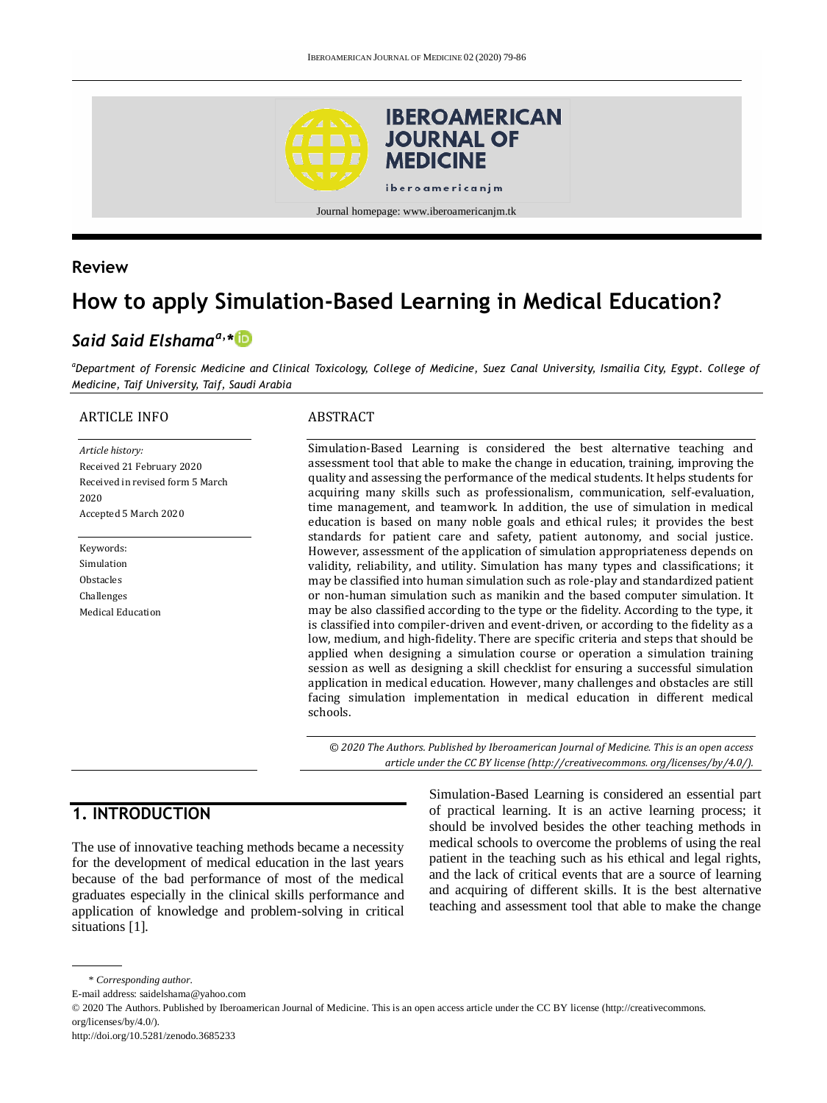

#### **Review**

# **How to apply Simulation-Based Learning in Medical Education?**

# *Said Said Elshamaa,\**

*<sup>a</sup>Department of Forensic Medicine and Clinical Toxicology, College of Medicine, Suez Canal University, Ismailia City, Egypt. College of Medicine, Taif University, Taif, Saudi Arabia*

#### ARTICLE INFO

*Article history:* Received 21 February 2020 Received in revised form 5 March 2020 Accepted 5 March 2020

Keywords: Simulation Obstacles Challenges Medical Education

#### ABSTRACT

Simulation-Based Learning is considered the best alternative teaching and assessment tool that able to make the change in education, training, improving the quality and assessing the performance of the medical students. It helps students for acquiring many skills such as professionalism, communication, self-evaluation, time management, and teamwork. In addition, the use of simulation in medical education is based on many noble goals and ethical rules; it provides the best standards for patient care and safety, patient autonomy, and social justice. However, assessment of the application of simulation appropriateness depends on validity, reliability, and utility. Simulation has many types and classifications; it may be classified into human simulation such as role-play and standardized patient or non-human simulation such as manikin and the based computer simulation. It may be also classified according to the type or the fidelity. According to the type, it is classified into compiler-driven and event-driven, or according to the fidelity as a low, medium, and high-fidelity. There are specific criteria and steps that should be applied when designing a simulation course or operation a simulation training session as well as designing a skill checklist for ensuring a successful simulation application in medical education. However, many challenges and obstacles are still facing simulation implementation in medical education in different medical schools.

*© 2020 The Authors. Published by Iberoamerican Journal of Medicine. This is an open access article under the CC BY license (http:/[/creativecommons. org/licenses/by/4.0/\)](https://creativecommons.org/licenses/by/4.0/).*

# **1. INTRODUCTION**

The use of innovative teaching methods became a necessity for the development of medical education in the last years because of the bad performance of most of the medical graduates especially in the clinical skills performance and application of knowledge and problem-solving in critical situations [1].

Simulation-Based Learning is considered an essential part of practical learning. It is an active learning process; it should be involved besides the other teaching methods in medical schools to overcome the problems of using the real patient in the teaching such as his ethical and legal rights, and the lack of critical events that are a source of learning and acquiring of different skills. It is the best alternative teaching and assessment tool that able to make the change

<sup>\*</sup> *Corresponding author.*

E-mail address: saidelshama@yahoo.com

<sup>© 2020</sup> The Authors. Published by Iberoamerican Journal of Medicine. This is an open access article under the CC BY license (http://creativecommons. org/licenses/by/4.0/).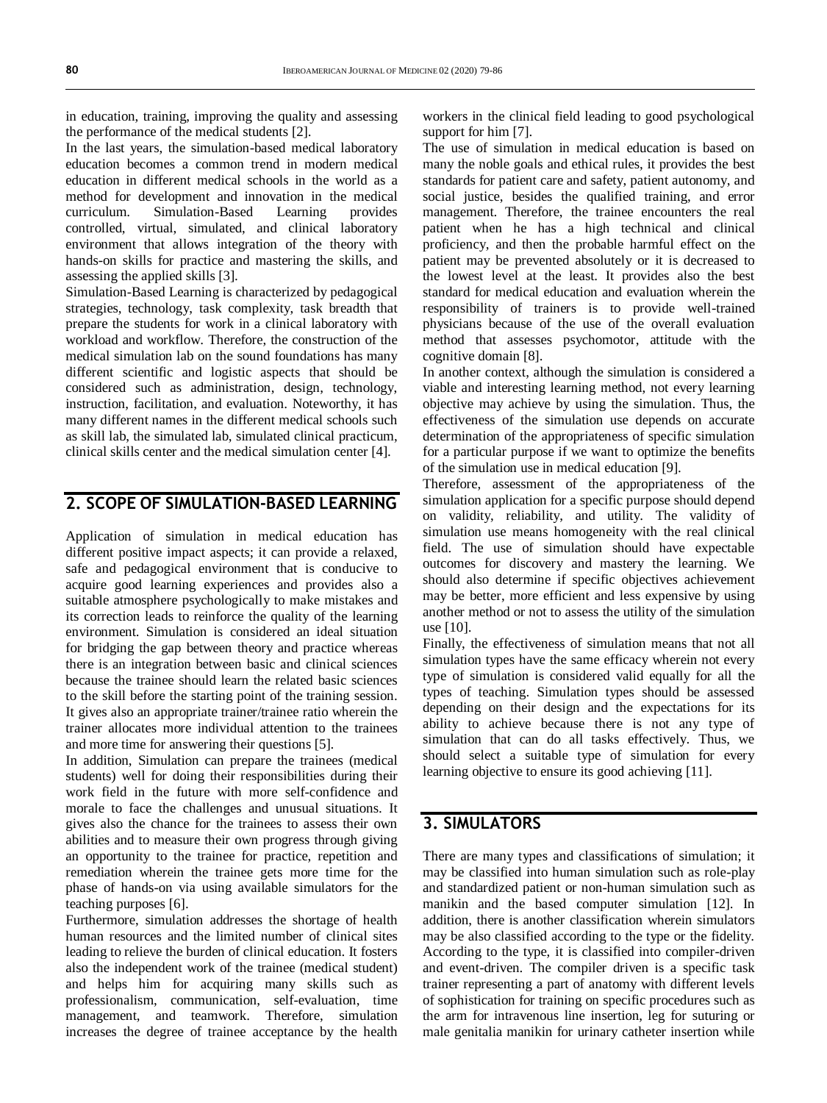in education, training, improving the quality and assessing the performance of the medical students [2].

In the last years, the simulation-based medical laboratory education becomes a common trend in modern medical education in different medical schools in the world as a method for development and innovation in the medical curriculum. Simulation-Based Learning provides controlled, virtual, simulated, and clinical laboratory environment that allows integration of the theory with hands-on skills for practice and mastering the skills, and assessing the applied skills [3].

Simulation-Based Learning is characterized by pedagogical strategies, technology, task complexity, task breadth that prepare the students for work in a clinical laboratory with workload and workflow. Therefore, the construction of the medical simulation lab on the sound foundations has many different scientific and logistic aspects that should be considered such as administration, design, technology, instruction, facilitation, and evaluation. Noteworthy, it has many different names in the different medical schools such as skill lab, the simulated lab, simulated clinical practicum, clinical skills center and the medical simulation center [4].

# **2. SCOPE OF SIMULATION-BASED LEARNING**

Application of simulation in medical education has different positive impact aspects; it can provide a relaxed, safe and pedagogical environment that is conducive to acquire good learning experiences and provides also a suitable atmosphere psychologically to make mistakes and its correction leads to reinforce the quality of the learning environment. Simulation is considered an ideal situation for bridging the gap between theory and practice whereas there is an integration between basic and clinical sciences because the trainee should learn the related basic sciences to the skill before the starting point of the training session. It gives also an appropriate trainer/trainee ratio wherein the trainer allocates more individual attention to the trainees and more time for answering their questions [5].

In addition, Simulation can prepare the trainees (medical students) well for doing their responsibilities during their work field in the future with more self-confidence and morale to face the challenges and unusual situations. It gives also the chance for the trainees to assess their own abilities and to measure their own progress through giving an opportunity to the trainee for practice, repetition and remediation wherein the trainee gets more time for the phase of hands-on via using available simulators for the teaching purposes [6].

Furthermore, simulation addresses the shortage of health human resources and the limited number of clinical sites leading to relieve the burden of clinical education. It fosters also the independent work of the trainee (medical student) and helps him for acquiring many skills such as professionalism, communication, self-evaluation, time management, and teamwork. Therefore, simulation increases the degree of trainee acceptance by the health

workers in the clinical field leading to good psychological support for him [7].

The use of simulation in medical education is based on many the noble goals and ethical rules, it provides the best standards for patient care and safety, patient autonomy, and social justice, besides the qualified training, and error management. Therefore, the trainee encounters the real patient when he has a high technical and clinical proficiency, and then the probable harmful effect on the patient may be prevented absolutely or it is decreased to the lowest level at the least. It provides also the best standard for medical education and evaluation wherein the responsibility of trainers is to provide well-trained physicians because of the use of the overall evaluation method that assesses psychomotor, attitude with the cognitive domain [8].

In another context, although the simulation is considered a viable and interesting learning method, not every learning objective may achieve by using the simulation. Thus, the effectiveness of the simulation use depends on accurate determination of the appropriateness of specific simulation for a particular purpose if we want to optimize the benefits of the simulation use in medical education [9].

Therefore, assessment of the appropriateness of the simulation application for a specific purpose should depend on validity, reliability, and utility. The validity of simulation use means homogeneity with the real clinical field. The use of simulation should have expectable outcomes for discovery and mastery the learning. We should also determine if specific objectives achievement may be better, more efficient and less expensive by using another method or not to assess the utility of the simulation use [10].

Finally, the effectiveness of simulation means that not all simulation types have the same efficacy wherein not every type of simulation is considered valid equally for all the types of teaching. Simulation types should be assessed depending on their design and the expectations for its ability to achieve because there is not any type of simulation that can do all tasks effectively. Thus, we should select a suitable type of simulation for every learning objective to ensure its good achieving [11].

### **3. SIMULATORS**

There are many types and classifications of simulation; it may be classified into human simulation such as role-play and standardized patient or non-human simulation such as manikin and the based computer simulation [12]. In addition, there is another classification wherein simulators may be also classified according to the type or the fidelity. According to the type, it is classified into compiler-driven and event-driven. The compiler driven is a specific task trainer representing a part of anatomy with different levels of sophistication for training on specific procedures such as the arm for intravenous line insertion, leg for suturing or male genitalia manikin for urinary catheter insertion while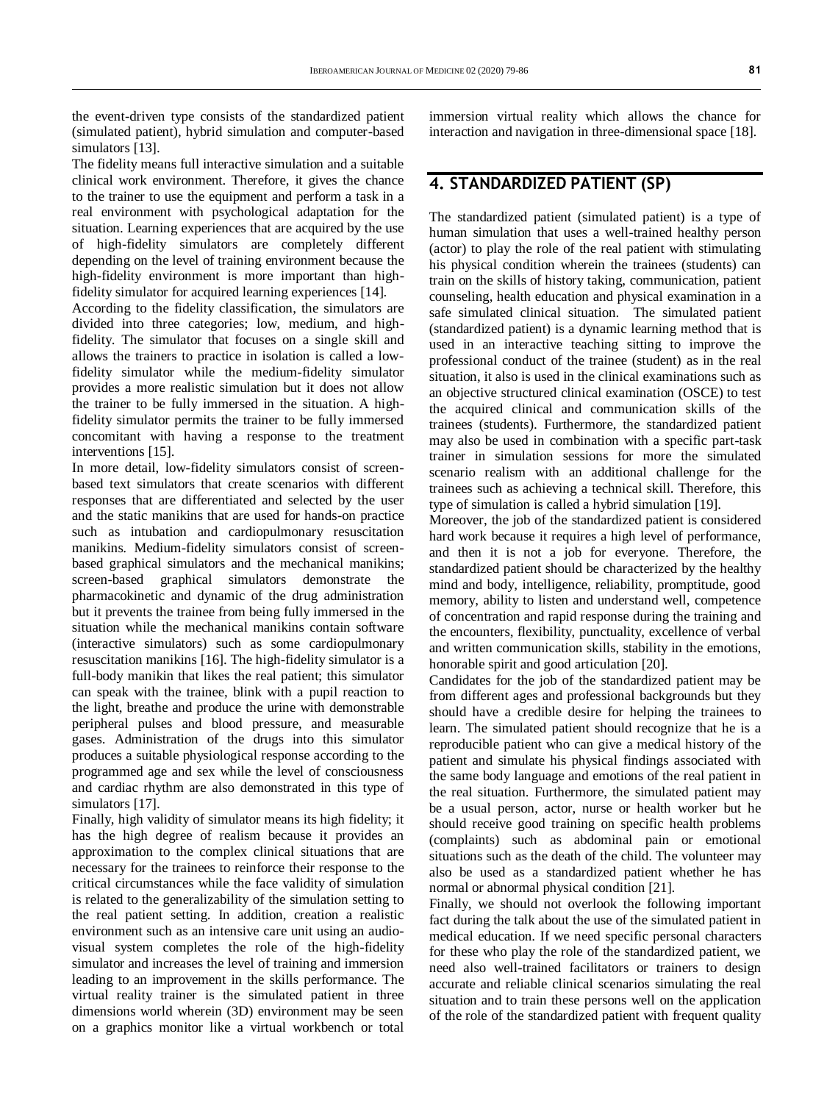The fidelity means full interactive simulation and a suitable clinical work environment. Therefore, it gives the chance to the trainer to use the equipment and perform a task in a real environment with psychological adaptation for the situation. Learning experiences that are acquired by the use of high-fidelity simulators are completely different depending on the level of training environment because the high-fidelity environment is more important than highfidelity simulator for acquired learning experiences [14].

According to the fidelity classification, the simulators are divided into three categories; low, medium, and highfidelity. The simulator that focuses on a single skill and allows the trainers to practice in isolation is called a lowfidelity simulator while the medium-fidelity simulator provides a more realistic simulation but it does not allow the trainer to be fully immersed in the situation. A highfidelity simulator permits the trainer to be fully immersed concomitant with having a response to the treatment interventions [15].

In more detail, low-fidelity simulators consist of screenbased text simulators that create scenarios with different responses that are differentiated and selected by the user and the static manikins that are used for hands-on practice such as intubation and cardiopulmonary resuscitation manikins. Medium-fidelity simulators consist of screenbased graphical simulators and the mechanical manikins; screen-based graphical simulators demonstrate the pharmacokinetic and dynamic of the drug administration but it prevents the trainee from being fully immersed in the situation while the mechanical manikins contain software (interactive simulators) such as some cardiopulmonary resuscitation manikins [16]. The high-fidelity simulator is a full-body manikin that likes the real patient; this simulator can speak with the trainee, blink with a pupil reaction to the light, breathe and produce the urine with demonstrable peripheral pulses and blood pressure, and measurable gases. Administration of the drugs into this simulator produces a suitable physiological response according to the programmed age and sex while the level of consciousness and cardiac rhythm are also demonstrated in this type of simulators [17].

Finally, high validity of simulator means its high fidelity; it has the high degree of realism because it provides an approximation to the complex clinical situations that are necessary for the trainees to reinforce their response to the critical circumstances while the face validity of simulation is related to the generalizability of the simulation setting to the real patient setting. In addition, creation a realistic environment such as an intensive care unit using an audiovisual system completes the role of the high-fidelity simulator and increases the level of training and immersion leading to an improvement in the skills performance. The virtual reality trainer is the simulated patient in three dimensions world wherein (3D) environment may be seen on a graphics monitor like a virtual workbench or total

immersion virtual reality which allows the chance for interaction and navigation in three-dimensional space [18].

# **4. STANDARDIZED PATIENT (SP)**

The standardized patient (simulated patient) is a type of human simulation that uses a well-trained healthy person (actor) to play the role of the real patient with stimulating his physical condition wherein the trainees (students) can train on the skills of history taking, communication, patient counseling, health education and physical examination in a safe simulated clinical situation. The simulated patient (standardized patient) is a dynamic learning method that is used in an interactive teaching sitting to improve the professional conduct of the trainee (student) as in the real situation, it also is used in the clinical examinations such as an objective structured clinical examination (OSCE) to test the acquired clinical and communication skills of the trainees (students). Furthermore, the standardized patient may also be used in combination with a specific part-task trainer in simulation sessions for more the simulated scenario realism with an additional challenge for the trainees such as achieving a technical skill. Therefore, this type of simulation is called a hybrid simulation [19].

Moreover, the job of the standardized patient is considered hard work because it requires a high level of performance. and then it is not a job for everyone. Therefore, the standardized patient should be characterized by the healthy mind and body, intelligence, reliability, promptitude, good memory, ability to listen and understand well, competence of concentration and rapid response during the training and the encounters, flexibility, punctuality, excellence of verbal and written communication skills, stability in the emotions, honorable spirit and good articulation [20].

Candidates for the job of the standardized patient may be from different ages and professional backgrounds but they should have a credible desire for helping the trainees to learn. The simulated patient should recognize that he is a reproducible patient who can give a medical history of the patient and simulate his physical findings associated with the same body language and emotions of the real patient in the real situation. Furthermore, the simulated patient may be a usual person, actor, nurse or health worker but he should receive good training on specific health problems (complaints) such as abdominal pain or emotional situations such as the death of the child. The volunteer may also be used as a standardized patient whether he has normal or abnormal physical condition [21].

Finally, we should not overlook the following important fact during the talk about the use of the simulated patient in medical education. If we need specific personal characters for these who play the role of the standardized patient, we need also well-trained facilitators or trainers to design accurate and reliable clinical scenarios simulating the real situation and to train these persons well on the application of the role of the standardized patient with frequent quality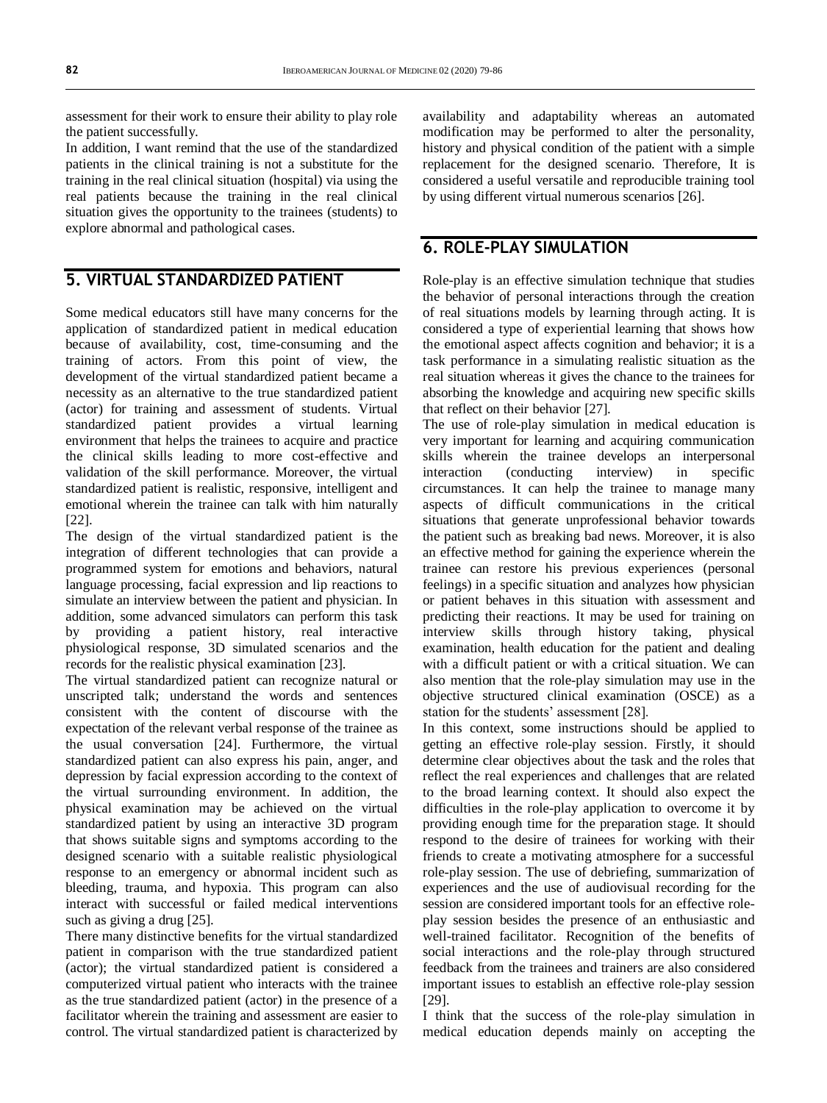assessment for their work to ensure their ability to play role the patient successfully.

In addition, I want remind that the use of the standardized patients in the clinical training is not a substitute for the training in the real clinical situation (hospital) via using the real patients because the training in the real clinical situation gives the opportunity to the trainees (students) to explore abnormal and pathological cases.

## **5. VIRTUAL STANDARDIZED PATIENT**

Some medical educators still have many concerns for the application of standardized patient in medical education because of availability, cost, time-consuming and the training of actors. From this point of view, the development of the virtual standardized patient became a necessity as an alternative to the true standardized patient (actor) for training and assessment of students. Virtual standardized patient provides a virtual learning environment that helps the trainees to acquire and practice the clinical skills leading to more cost-effective and validation of the skill performance. Moreover, the virtual standardized patient is realistic, responsive, intelligent and emotional wherein the trainee can talk with him naturally [22].

The design of the virtual standardized patient is the integration of different technologies that can provide a programmed system for emotions and behaviors, natural language processing, facial expression and lip reactions to simulate an interview between the patient and physician. In addition, some advanced simulators can perform this task by providing a patient history, real interactive physiological response, 3D simulated scenarios and the records for the realistic physical examination [23].

The virtual standardized patient can recognize natural or unscripted talk; understand the words and sentences consistent with the content of discourse with the expectation of the relevant verbal response of the trainee as the usual conversation [24]. Furthermore, the virtual standardized patient can also express his pain, anger, and depression by facial expression according to the context of the virtual surrounding environment. In addition, the physical examination may be achieved on the virtual standardized patient by using an interactive 3D program that shows suitable signs and symptoms according to the designed scenario with a suitable realistic physiological response to an emergency or abnormal incident such as bleeding, trauma, and hypoxia. This program can also interact with successful or failed medical interventions such as giving a drug [25].

There many distinctive benefits for the virtual standardized patient in comparison with the true standardized patient (actor); the virtual standardized patient is considered a computerized virtual patient who interacts with the trainee as the true standardized patient (actor) in the presence of a facilitator wherein the training and assessment are easier to control. The virtual standardized patient is characterized by

availability and adaptability whereas an automated modification may be performed to alter the personality, history and physical condition of the patient with a simple replacement for the designed scenario. Therefore, It is considered a useful versatile and reproducible training tool by using different virtual numerous scenarios [26].

#### **6. ROLE-PLAY SIMULATION**

Role-play is an effective simulation technique that studies the behavior of personal interactions through the creation of real situations models by learning through acting. It is considered a type of experiential learning that shows how the emotional aspect affects cognition and behavior; it is a task performance in a simulating realistic situation as the real situation whereas it gives the chance to the trainees for absorbing the knowledge and acquiring new specific skills that reflect on their behavior [27].

The use of role-play simulation in medical education is very important for learning and acquiring communication skills wherein the trainee develops an interpersonal interaction (conducting interview) in specific circumstances. It can help the trainee to manage many aspects of difficult communications in the critical situations that generate unprofessional behavior towards the patient such as breaking bad news. Moreover, it is also an effective method for gaining the experience wherein the trainee can restore his previous experiences (personal feelings) in a specific situation and analyzes how physician or patient behaves in this situation with assessment and predicting their reactions. It may be used for training on interview skills through history taking, physical examination, health education for the patient and dealing with a difficult patient or with a critical situation. We can also mention that the role-play simulation may use in the objective structured clinical examination (OSCE) as a station for the students' assessment [28].

In this context, some instructions should be applied to getting an effective role-play session. Firstly, it should determine clear objectives about the task and the roles that reflect the real experiences and challenges that are related to the broad learning context. It should also expect the difficulties in the role-play application to overcome it by providing enough time for the preparation stage. It should respond to the desire of trainees for working with their friends to create a motivating atmosphere for a successful role-play session. The use of debriefing, summarization of experiences and the use of audiovisual recording for the session are considered important tools for an effective roleplay session besides the presence of an enthusiastic and well-trained facilitator. Recognition of the benefits of social interactions and the role-play through structured feedback from the trainees and trainers are also considered important issues to establish an effective role-play session [29].

I think that the success of the role-play simulation in medical education depends mainly on accepting the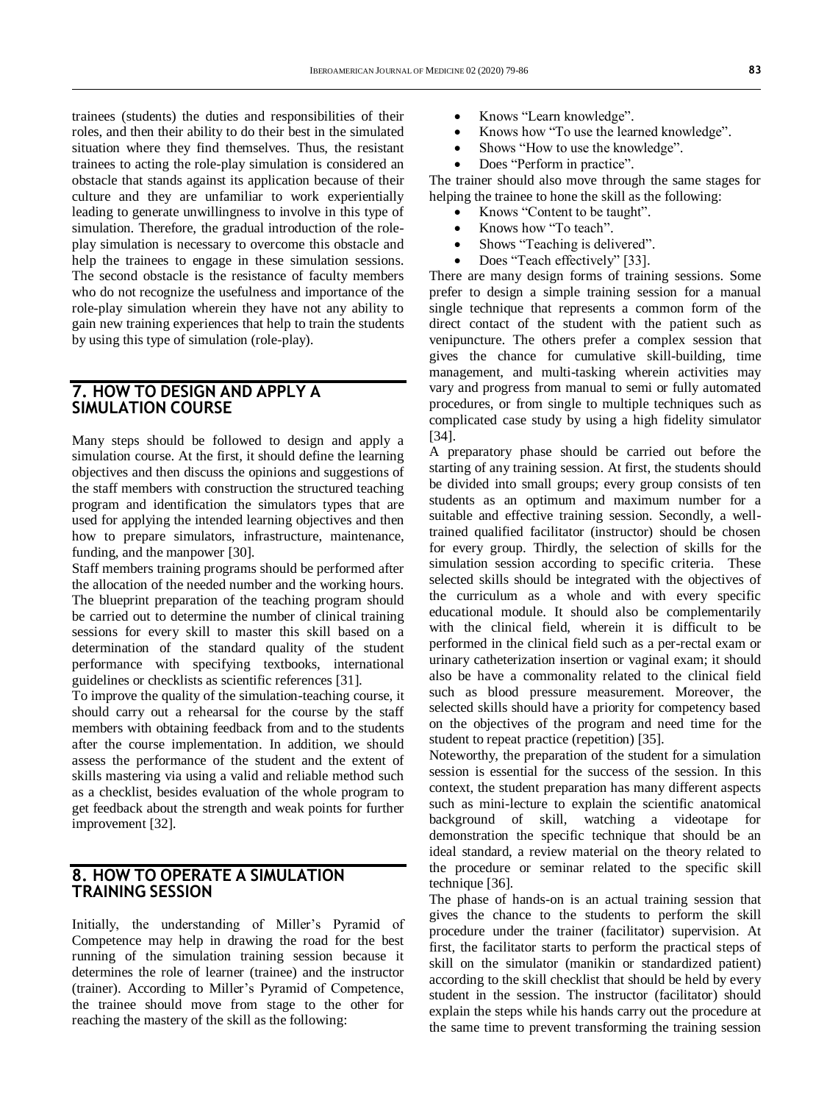trainees (students) the duties and responsibilities of their roles, and then their ability to do their best in the simulated situation where they find themselves. Thus, the resistant trainees to acting the role-play simulation is considered an obstacle that stands against its application because of their culture and they are unfamiliar to work experientially leading to generate unwillingness to involve in this type of simulation. Therefore, the gradual introduction of the roleplay simulation is necessary to overcome this obstacle and help the trainees to engage in these simulation sessions. The second obstacle is the resistance of faculty members who do not recognize the usefulness and importance of the role-play simulation wherein they have not any ability to gain new training experiences that help to train the students by using this type of simulation (role-play).

#### **7. HOW TO DESIGN AND APPLY A SIMULATION COURSE**

Many steps should be followed to design and apply a simulation course. At the first, it should define the learning objectives and then discuss the opinions and suggestions of the staff members with construction the structured teaching program and identification the simulators types that are used for applying the intended learning objectives and then how to prepare simulators, infrastructure, maintenance, funding, and the manpower [30].

Staff members training programs should be performed after the allocation of the needed number and the working hours. The blueprint preparation of the teaching program should be carried out to determine the number of clinical training sessions for every skill to master this skill based on a determination of the standard quality of the student performance with specifying textbooks, international guidelines or checklists as scientific references [31].

To improve the quality of the simulation-teaching course, it should carry out a rehearsal for the course by the staff members with obtaining feedback from and to the students after the course implementation. In addition, we should assess the performance of the student and the extent of skills mastering via using a valid and reliable method such as a checklist, besides evaluation of the whole program to get feedback about the strength and weak points for further improvement [32].

#### **8. HOW TO OPERATE A SIMULATION TRAINING SESSION**

Initially, the understanding of Miller's Pyramid of Competence may help in drawing the road for the best running of the simulation training session because it determines the role of learner (trainee) and the instructor (trainer). According to Miller's Pyramid of Competence, the trainee should move from stage to the other for reaching the mastery of the skill as the following:

- Knows "Learn knowledge".
- Knows how "To use the learned knowledge".
- Shows "How to use the knowledge".
- Does "Perform in practice".

The trainer should also move through the same stages for helping the trainee to hone the skill as the following:

- Knows "Content to be taught".
- Knows how "To teach".
- Shows "Teaching is delivered".
- Does "Teach effectively" [33].

There are many design forms of training sessions. Some prefer to design a simple training session for a manual single technique that represents a common form of the direct contact of the student with the patient such as venipuncture. The others prefer a complex session that gives the chance for cumulative skill-building, time management, and multi-tasking wherein activities may vary and progress from manual to semi or fully automated procedures, or from single to multiple techniques such as complicated case study by using a high fidelity simulator [34].

A preparatory phase should be carried out before the starting of any training session. At first, the students should be divided into small groups; every group consists of ten students as an optimum and maximum number for a suitable and effective training session. Secondly, a welltrained qualified facilitator (instructor) should be chosen for every group. Thirdly, the selection of skills for the simulation session according to specific criteria. These selected skills should be integrated with the objectives of the curriculum as a whole and with every specific educational module. It should also be complementarily with the clinical field, wherein it is difficult to be performed in the clinical field such as a per-rectal exam or urinary catheterization insertion or vaginal exam; it should also be have a commonality related to the clinical field such as blood pressure measurement. Moreover, the selected skills should have a priority for competency based on the objectives of the program and need time for the student to repeat practice (repetition) [35].

Noteworthy, the preparation of the student for a simulation session is essential for the success of the session. In this context, the student preparation has many different aspects such as mini-lecture to explain the scientific anatomical background of skill, watching a videotape for demonstration the specific technique that should be an ideal standard, a review material on the theory related to the procedure or seminar related to the specific skill technique [36].

The phase of hands-on is an actual training session that gives the chance to the students to perform the skill procedure under the trainer (facilitator) supervision. At first, the facilitator starts to perform the practical steps of skill on the simulator (manikin or standardized patient) according to the skill checklist that should be held by every student in the session. The instructor (facilitator) should explain the steps while his hands carry out the procedure at the same time to prevent transforming the training session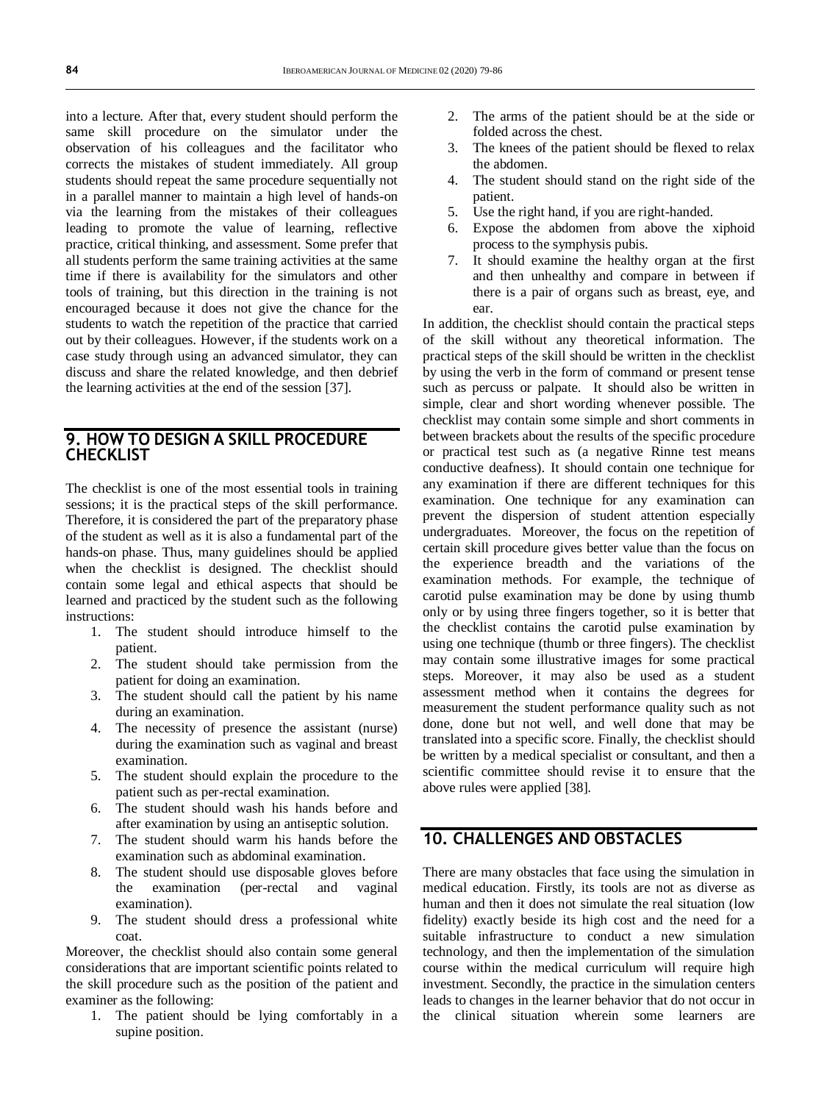into a lecture. After that, every student should perform the same skill procedure on the simulator under the observation of his colleagues and the facilitator who corrects the mistakes of student immediately. All group students should repeat the same procedure sequentially not in a parallel manner to maintain a high level of hands-on via the learning from the mistakes of their colleagues leading to promote the value of learning, reflective practice, critical thinking, and assessment. Some prefer that all students perform the same training activities at the same time if there is availability for the simulators and other tools of training, but this direction in the training is not encouraged because it does not give the chance for the students to watch the repetition of the practice that carried out by their colleagues. However, if the students work on a case study through using an advanced simulator, they can discuss and share the related knowledge, and then debrief the learning activities at the end of the session [37].

#### **9. HOW TO DESIGN A SKILL PROCEDURE CHECKLIST**

The checklist is one of the most essential tools in training sessions; it is the practical steps of the skill performance. Therefore, it is considered the part of the preparatory phase of the student as well as it is also a fundamental part of the hands-on phase. Thus, many guidelines should be applied when the checklist is designed. The checklist should contain some legal and ethical aspects that should be learned and practiced by the student such as the following instructions:

- 1. The student should introduce himself to the patient.
- 2. The student should take permission from the patient for doing an examination.
- 3. The student should call the patient by his name during an examination.
- 4. The necessity of presence the assistant (nurse) during the examination such as vaginal and breast examination.
- 5. The student should explain the procedure to the patient such as per-rectal examination.
- 6. The student should wash his hands before and after examination by using an antiseptic solution.
- 7. The student should warm his hands before the examination such as abdominal examination.
- 8. The student should use disposable gloves before the examination (per-rectal and vaginal examination).
- 9. The student should dress a professional white coat.

Moreover, the checklist should also contain some general considerations that are important scientific points related to the skill procedure such as the position of the patient and examiner as the following:

1. The patient should be lying comfortably in a supine position.

- 2. The arms of the patient should be at the side or folded across the chest.
- 3. The knees of the patient should be flexed to relax the abdomen.
- 4. The student should stand on the right side of the patient.
- 5. Use the right hand, if you are right-handed.
- 6. Expose the abdomen from above the xiphoid process to the symphysis pubis.
- 7. It should examine the healthy organ at the first and then unhealthy and compare in between if there is a pair of organs such as breast, eye, and ear.

In addition, the checklist should contain the practical steps of the skill without any theoretical information. The practical steps of the skill should be written in the checklist by using the verb in the form of command or present tense such as percuss or palpate. It should also be written in simple, clear and short wording whenever possible. The checklist may contain some simple and short comments in between brackets about the results of the specific procedure or practical test such as (a negative Rinne test means conductive deafness). It should contain one technique for any examination if there are different techniques for this examination. One technique for any examination can prevent the dispersion of student attention especially undergraduates. Moreover, the focus on the repetition of certain skill procedure gives better value than the focus on the experience breadth and the variations of the examination methods. For example, the technique of carotid pulse examination may be done by using thumb only or by using three fingers together, so it is better that the checklist contains the carotid pulse examination by using one technique (thumb or three fingers). The checklist may contain some illustrative images for some practical steps. Moreover, it may also be used as a student assessment method when it contains the degrees for measurement the student performance quality such as not done, done but not well, and well done that may be translated into a specific score. Finally, the checklist should be written by a medical specialist or consultant, and then a scientific committee should revise it to ensure that the above rules were applied [38].

#### **10. CHALLENGES AND OBSTACLES**

There are many obstacles that face using the simulation in medical education. Firstly, its tools are not as diverse as human and then it does not simulate the real situation (low fidelity) exactly beside its high cost and the need for a suitable infrastructure to conduct a new simulation technology, and then the implementation of the simulation course within the medical curriculum will require high investment. Secondly, the practice in the simulation centers leads to changes in the learner behavior that do not occur in the clinical situation wherein some learners are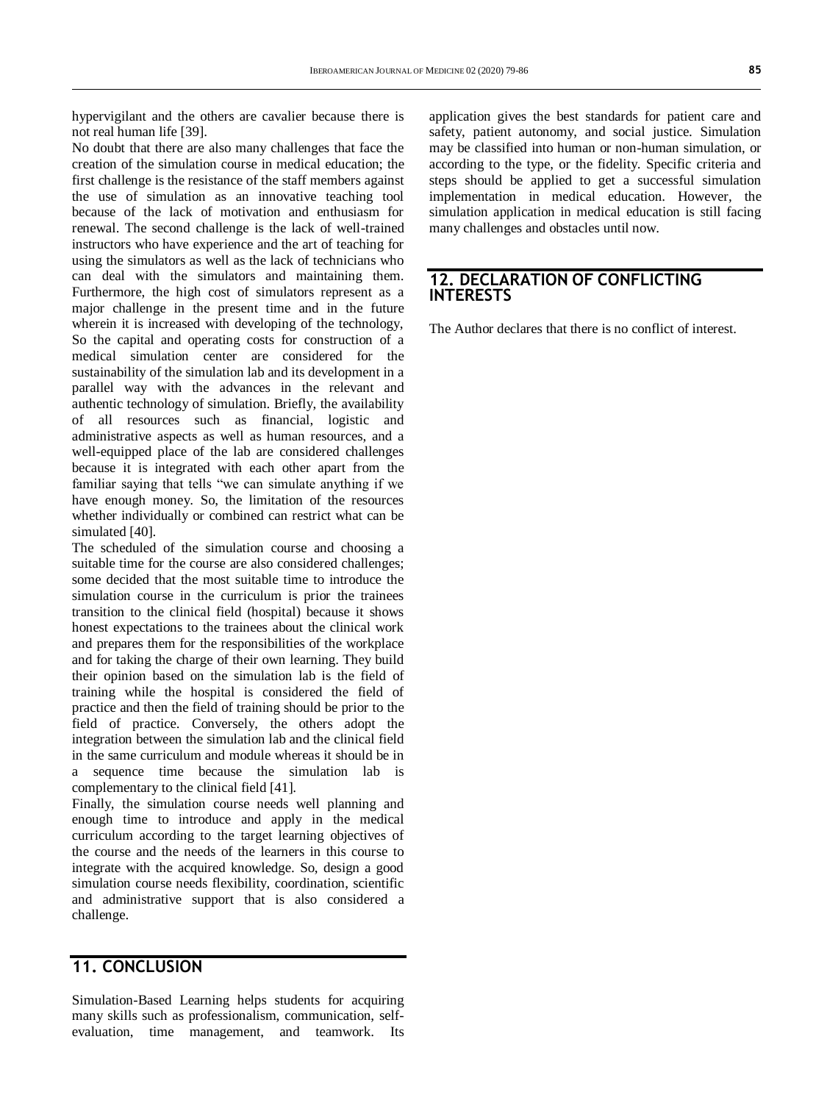hypervigilant and the others are cavalier because there is not real human life [39].

No doubt that there are also many challenges that face the creation of the simulation course in medical education; the first challenge is the resistance of the staff members against the use of simulation as an innovative teaching tool because of the lack of motivation and enthusiasm for renewal. The second challenge is the lack of well-trained instructors who have experience and the art of teaching for using the simulators as well as the lack of technicians who can deal with the simulators and maintaining them. Furthermore, the high cost of simulators represent as a major challenge in the present time and in the future wherein it is increased with developing of the technology, So the capital and operating costs for construction of a medical simulation center are considered for the sustainability of the simulation lab and its development in a parallel way with the advances in the relevant and authentic technology of simulation. Briefly, the availability of all resources such as financial, logistic and administrative aspects as well as human resources, and a well-equipped place of the lab are considered challenges because it is integrated with each other apart from the familiar saying that tells "we can simulate anything if we have enough money. So, the limitation of the resources whether individually or combined can restrict what can be simulated [40].

The scheduled of the simulation course and choosing a suitable time for the course are also considered challenges; some decided that the most suitable time to introduce the simulation course in the curriculum is prior the trainees transition to the clinical field (hospital) because it shows honest expectations to the trainees about the clinical work and prepares them for the responsibilities of the workplace and for taking the charge of their own learning. They build their opinion based on the simulation lab is the field of training while the hospital is considered the field of practice and then the field of training should be prior to the field of practice. Conversely, the others adopt the integration between the simulation lab and the clinical field in the same curriculum and module whereas it should be in a sequence time because the simulation lab is complementary to the clinical field [41].

Finally, the simulation course needs well planning and enough time to introduce and apply in the medical curriculum according to the target learning objectives of the course and the needs of the learners in this course to integrate with the acquired knowledge. So, design a good simulation course needs flexibility, coordination, scientific and administrative support that is also considered a challenge.

### **11. CONCLUSION**

Simulation-Based Learning helps students for acquiring many skills such as professionalism, communication, selfevaluation, time management, and teamwork. Its

application gives the best standards for patient care and safety, patient autonomy, and social justice. Simulation may be classified into human or non-human simulation, or according to the type, or the fidelity. Specific criteria and steps should be applied to get a successful simulation implementation in medical education. However, the simulation application in medical education is still facing many challenges and obstacles until now.

### **12. DECLARATION OF CONFLICTING INTERESTS**

The Author declares that there is no conflict of interest.